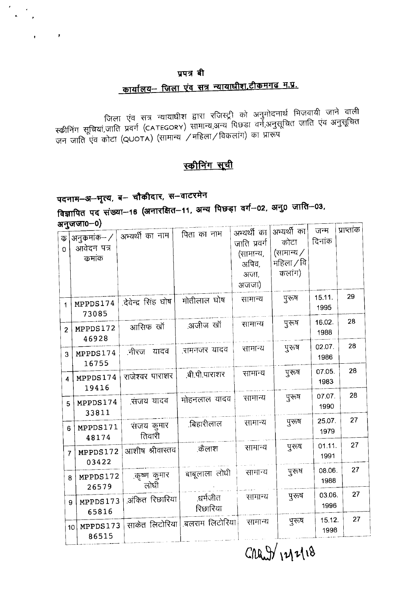#### प्रपत्र बी

# <u> कार्यालय– जिला एंव सत्र न्यायाधीश,टीकमगढ म.प्र.</u>

फ्कीनिंग सूचियां,जाति एव सत्र न्यायाधीश द्वारा रजिस्ट्री को अनुमोदनार्थ भिजवायी जाने वाली<br>जन जाति एंव अनुसूचित<br>जन जाति एंव कोटा (QUOTA) (सामान्य /महिला/विकलांग) का प्रारूप

### स्कीनिंग सूची

# पदनाम–अ–भृत्य, ब– चौकीदार, स–वाटरमेन

 $\bar{\mathbf{r}}$ 

विज्ञापित पद संख्या-16 (अनारक्षित-11, अन्य पिछड़ा वर्ग-02, अनु0 जाति-03, अनजजा0-0)

|                               |                                      |                      |                      | अभ्यर्थी का                                         | अभ्यर्थी का                                | जन्म           | प्राप्ताक |  |
|-------------------------------|--------------------------------------|----------------------|----------------------|-----------------------------------------------------|--------------------------------------------|----------------|-----------|--|
| $\overline{\Phi}$<br>$\Omega$ | अनुकर्माक– /<br>आवेदन पत्र<br>कमांक  | अभ्यर्थी का नाम      | पिता का नाम          | जाति प्रवर्ग<br>(सामान्य,<br>अपिव,<br>अजा,<br>अजजा) | कोटा<br>(सामान्य /<br>महिला / वि<br>कलांग) | दिनांक         |           |  |
| 1                             | MPPDS174<br>73085                    | .देवेन्द्र सिंह घोष  | मोतीलाल घोष          | सामान्य                                             | पुरुष                                      | 15.11.<br>1995 | 29        |  |
| $\overline{2}$                | MPPDS172<br>46928                    | आसिफ खॉ              | .अजीज खॉ             | सामान्य                                             | पुरुष                                      | 16.02.<br>1988 | 28        |  |
| 3                             | MPPDS174<br>16755                    | नीरज यादव            | .रामनजर यादव         | सामान्य                                             | पुरुत्ष                                    | 02.07.<br>1986 | 28        |  |
| 4                             | MPPDS174<br>19416                    | राजेश्वर पाराशर      | ,बी.पी.पाराशर        | सामान्य                                             | पुरुष                                      | 07.05.<br>1983 | 28        |  |
| 5                             | MPPDS174<br>33811                    | .संजय यादव           | मोहनलाल यादव         | सामान्य                                             | पुरुष                                      | 07.07.<br>1990 | 28        |  |
| 6                             | MPPDS171<br>48174                    | संजय कुमार<br>तिवारी | .बिहारीलाल           | सामान्य                                             | पूरुष                                      | 25.07.<br>1979 | 27        |  |
|                               | MPPDS172<br>$\overline{I}$<br>03422  | आशीष श्रीवास्तव      | .कैलाश               | सामान्य                                             | पुरुष                                      | 01.11.<br>1991 | 27        |  |
|                               | MPPDS172<br>8<br>26579               | .कृष्ण कुमार<br>लोधी | बाबूलाला लोधी        | सामान्य                                             | पुरुष                                      | 08.06.<br>1988 | 27        |  |
|                               | MPPDS173<br>9<br>65816               | ऑकेत रिछारिया        | ्धर्मजीत<br>रिछारिया | सामान्य                                             | पुरुष                                      | 03.06.<br>1996 | 27        |  |
|                               | MPPDS173<br>10 <sub>1</sub><br>86515 | साकेत लिटोरिया       | ्बलराम लिटोरिया।     | सामान्य                                             | पुरुष                                      | 15.12.<br>1998 | 27        |  |
|                               |                                      |                      |                      |                                                     |                                            |                |           |  |

 $CMAW$  $1218$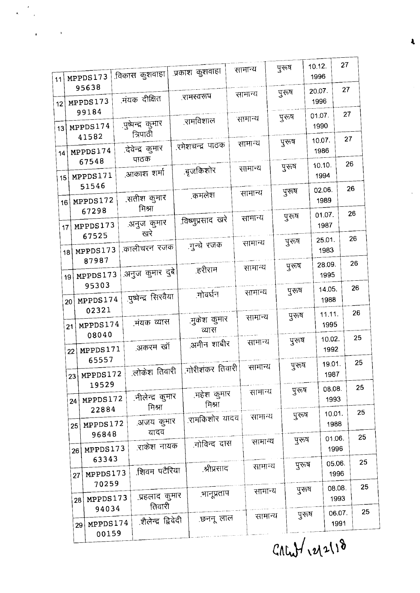$CALU\$  $12118$ 

|    |                                                                              |                                                                                                                                                                                  |                                                                                                                                                                                                          |                                                                                                                                                                                                                |                                                                                                                                                                                   |                                                                                                                               |                                                                                                                                                                     | पुरुष                                                                                                                            |                                                                |                                                              | 27                                                                                                                                                                                                                                                                                                                                 |
|----|------------------------------------------------------------------------------|----------------------------------------------------------------------------------------------------------------------------------------------------------------------------------|----------------------------------------------------------------------------------------------------------------------------------------------------------------------------------------------------------|----------------------------------------------------------------------------------------------------------------------------------------------------------------------------------------------------------------|-----------------------------------------------------------------------------------------------------------------------------------------------------------------------------------|-------------------------------------------------------------------------------------------------------------------------------|---------------------------------------------------------------------------------------------------------------------------------------------------------------------|----------------------------------------------------------------------------------------------------------------------------------|----------------------------------------------------------------|--------------------------------------------------------------|------------------------------------------------------------------------------------------------------------------------------------------------------------------------------------------------------------------------------------------------------------------------------------------------------------------------------------|
|    |                                                                              |                                                                                                                                                                                  |                                                                                                                                                                                                          |                                                                                                                                                                                                                |                                                                                                                                                                                   |                                                                                                                               |                                                                                                                                                                     | पुरुष                                                                                                                            |                                                                |                                                              | 27                                                                                                                                                                                                                                                                                                                                 |
|    |                                                                              |                                                                                                                                                                                  |                                                                                                                                                                                                          |                                                                                                                                                                                                                |                                                                                                                                                                                   |                                                                                                                               |                                                                                                                                                                     | पुरुष                                                                                                                            |                                                                |                                                              | 27                                                                                                                                                                                                                                                                                                                                 |
|    |                                                                              |                                                                                                                                                                                  |                                                                                                                                                                                                          |                                                                                                                                                                                                                |                                                                                                                                                                                   |                                                                                                                               |                                                                                                                                                                     | पूरुष                                                                                                                            |                                                                |                                                              | 27                                                                                                                                                                                                                                                                                                                                 |
|    |                                                                              |                                                                                                                                                                                  |                                                                                                                                                                                                          |                                                                                                                                                                                                                |                                                                                                                                                                                   |                                                                                                                               |                                                                                                                                                                     | पुरुष                                                                                                                            |                                                                |                                                              | 26                                                                                                                                                                                                                                                                                                                                 |
|    |                                                                              |                                                                                                                                                                                  |                                                                                                                                                                                                          |                                                                                                                                                                                                                | .कमलेश                                                                                                                                                                            |                                                                                                                               |                                                                                                                                                                     | पुरुष                                                                                                                            |                                                                |                                                              | 26                                                                                                                                                                                                                                                                                                                                 |
|    |                                                                              |                                                                                                                                                                                  |                                                                                                                                                                                                          |                                                                                                                                                                                                                |                                                                                                                                                                                   |                                                                                                                               |                                                                                                                                                                     | पुरुष                                                                                                                            |                                                                |                                                              | 26                                                                                                                                                                                                                                                                                                                                 |
|    |                                                                              |                                                                                                                                                                                  |                                                                                                                                                                                                          |                                                                                                                                                                                                                |                                                                                                                                                                                   |                                                                                                                               |                                                                                                                                                                     | पुरुष                                                                                                                            |                                                                |                                                              | 26                                                                                                                                                                                                                                                                                                                                 |
|    |                                                                              |                                                                                                                                                                                  |                                                                                                                                                                                                          |                                                                                                                                                                                                                | .हरीराम                                                                                                                                                                           |                                                                                                                               |                                                                                                                                                                     | पुरुष                                                                                                                            |                                                                |                                                              | 26                                                                                                                                                                                                                                                                                                                                 |
|    |                                                                              |                                                                                                                                                                                  |                                                                                                                                                                                                          |                                                                                                                                                                                                                | .गोवर्धन                                                                                                                                                                          |                                                                                                                               |                                                                                                                                                                     | पुरुष                                                                                                                            |                                                                |                                                              | 26                                                                                                                                                                                                                                                                                                                                 |
|    |                                                                              |                                                                                                                                                                                  |                                                                                                                                                                                                          |                                                                                                                                                                                                                |                                                                                                                                                                                   |                                                                                                                               |                                                                                                                                                                     | पूरुष                                                                                                                            |                                                                |                                                              | 26                                                                                                                                                                                                                                                                                                                                 |
| 22 |                                                                              |                                                                                                                                                                                  |                                                                                                                                                                                                          |                                                                                                                                                                                                                |                                                                                                                                                                                   |                                                                                                                               |                                                                                                                                                                     | पुरुष                                                                                                                            |                                                                |                                                              | 25                                                                                                                                                                                                                                                                                                                                 |
|    |                                                                              |                                                                                                                                                                                  |                                                                                                                                                                                                          |                                                                                                                                                                                                                |                                                                                                                                                                                   |                                                                                                                               | सामान्य                                                                                                                                                             |                                                                                                                                  |                                                                |                                                              | 25                                                                                                                                                                                                                                                                                                                                 |
| 24 |                                                                              |                                                                                                                                                                                  |                                                                                                                                                                                                          |                                                                                                                                                                                                                |                                                                                                                                                                                   |                                                                                                                               |                                                                                                                                                                     |                                                                                                                                  |                                                                |                                                              | 25                                                                                                                                                                                                                                                                                                                                 |
| 25 |                                                                              |                                                                                                                                                                                  |                                                                                                                                                                                                          |                                                                                                                                                                                                                |                                                                                                                                                                                   |                                                                                                                               |                                                                                                                                                                     |                                                                                                                                  |                                                                | 1988                                                         | 25                                                                                                                                                                                                                                                                                                                                 |
| 26 |                                                                              |                                                                                                                                                                                  |                                                                                                                                                                                                          |                                                                                                                                                                                                                |                                                                                                                                                                                   |                                                                                                                               |                                                                                                                                                                     |                                                                                                                                  |                                                                | 1996                                                         | 25                                                                                                                                                                                                                                                                                                                                 |
| 27 | 63343<br>MPPDS173                                                            |                                                                                                                                                                                  |                                                                                                                                                                                                          |                                                                                                                                                                                                                |                                                                                                                                                                                   |                                                                                                                               |                                                                                                                                                                     |                                                                                                                                  |                                                                |                                                              | 25                                                                                                                                                                                                                                                                                                                                 |
|    |                                                                              |                                                                                                                                                                                  |                                                                                                                                                                                                          |                                                                                                                                                                                                                |                                                                                                                                                                                   |                                                                                                                               |                                                                                                                                                                     |                                                                                                                                  |                                                                |                                                              | 25                                                                                                                                                                                                                                                                                                                                 |
|    | 00159                                                                        |                                                                                                                                                                                  |                                                                                                                                                                                                          |                                                                                                                                                                                                                |                                                                                                                                                                                   |                                                                                                                               |                                                                                                                                                                     |                                                                                                                                  |                                                                |                                                              | 25                                                                                                                                                                                                                                                                                                                                 |
|    | 13 <sup>1</sup><br>14<br>15<br>16<br>17<br>18<br>19<br>20 <sup>1</sup><br>21 | MPPDS173<br>95638<br>MPPDS173<br>99184<br>MPPDS174<br>41582<br>MPPDS174<br>67548<br>MPPDS171<br>51546<br>67298<br>67525<br>87987<br>95303<br>02321<br>08040<br>65557<br>28<br>29 | MPPDS172<br>MPPDS173<br>MPPDS173<br>MPPDS173<br>MPPDS174<br>MPPDS174<br>MPPDS171<br>23 MPPDS172<br>19529<br>MPPDS172<br>22884<br>MPPDS172<br>96848<br>MPPDS173<br>70259<br>MPPDS173<br>94034<br>MPPDS174 | .विकास कुशवाहा<br>.मंयक दीक्षित<br>.पुष्पन्द्र कुमार<br>त्रिपाठी<br>.देवेन्द्र कुमार<br>पाठक<br>.आकाश शर्मा<br>.सतीश कुमार<br>मिश्रा<br>अनुज कुमार<br>खरे<br>मयक व्यास<br>.अकरम खॉ<br>मिश्रा<br>यादव<br>तिवारी | कालीचरन रजक<br>.अनुज कुमार दुबे<br>.पुष्पेन्द्र सिरवैया<br>.लोकेश तिवारी<br>नीलेन्द्र कुमार<br>.अजय कुमार<br>राकेश नायक<br>.शिवम पटैरिया<br>.प्रहलाद कुमार<br>.शैलेन्द्र द्विवेदी | .प्रकाश कुशवाहा<br><u>.</u> रामस्वरूप<br><u>.</u> रामविशाल<br>.रमेशचन्द्र पाठक<br>.बृजकिशोर<br>.गुन्चे रजक<br>व्यास<br>मिश्रा | .विष्णुप्रसाद खरे<br>.मुकेश कुमार<br>अमीन शाबीर<br>.गोरीशंकर तिवारी<br>.महेश कुमार<br>.रामकिशोर यादव<br>गोविन्द दास<br>श्रीप्रसाद<br><u>भानूप्रताप</u><br>.छननू लाल | सामान्य<br>सामान्य<br>सामान्य<br>सामान्य<br>सामान्य<br>सामान्य<br>सामान्य<br>सामान्य<br>सामान्य<br>सामान्य<br>सामान्य<br>सामान्य | सामान्य<br>सामान्य<br>सामान्य<br>सामान्य<br>सामान्य<br>सामान्य | पुरुष<br>पुरुष<br>पुरन्ष<br>पुरुष<br>पुरुष<br>पुरुष<br>पूरुष | 10.12.<br>1996<br>20.07.<br>1996<br>01.07.<br>1990<br>10.07.<br>1986<br>10.10.<br>1994<br>02.06.<br>1989<br>01.07.<br>1987<br>25.01.<br>1983<br>28.09.<br>1995<br>14.05.<br>1988<br>11.11.<br>1995<br>10.02.<br>1992<br>19.01.<br>1987<br>08.08.<br>1993<br>10.01.<br>01.06.<br>05.06.<br>1996<br>08.08.<br>1993<br>06.07.<br>1991 |

 $\ddot{\phantom{a}}$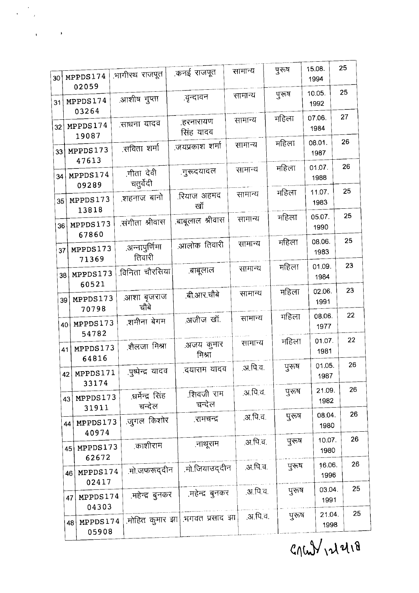$G$   $(M)$   $\mathcal{N}$   $\mathcal{N}$   $\mathcal{N}$ 

Т

| 30 | MPPDS174                         | भागीरथ राजपूत              | कनई राजपूत                      | सामान्य  | पुरुष | 15.08.<br>1994 | 25 |
|----|----------------------------------|----------------------------|---------------------------------|----------|-------|----------------|----|
| 31 | 02059<br>MPPDS174                | .आशीष गुप्ता               | .वृन्दावन                       | सामान्य  | पुरुष | 10.05.<br>1992 | 25 |
| 32 | 03264<br>MPPDS174                | साधना यादव                 | .हरनारायण<br>सिंह यादव          | सामान्य  | महिला | 07.06.<br>1984 | 27 |
| 33 | 19087<br>MPPDS173                | .सविता शर्मा               | .जयप्रकाश शर्मा                 | सामान्य  | महिला | 08.01.<br>1987 | 26 |
| 34 | 47613<br>MPPDS174<br>09289       | .गीता देवी<br>चतुर्वेदी    | <u>.</u> गुरूदयादल              | सामान्य  | महिला | 01.07.<br>1988 | 26 |
| 35 | MPPDS173<br>13818                | .शहनाज बानो                | .रियाज अहमद<br>खॉ               | सामान्य  | महिला | 11.07.<br>1983 | 25 |
| 36 | MPPDS173<br>67860                | संगीता श्रीवास             | बाबूलाल श्रीवास                 | सामान्य  | महिला | 05.07.<br>1990 | 25 |
| 37 | MPPDS173<br>71369                | .अन्नापुर्णिमा<br>तिवारी   | आलोक तिवारी                     | सामान्य  | महिला | 08.06.<br>1983 | 25 |
| 38 | MPPDS173<br>60521                | .विनिता चौरसिया            | .बाबूलाल                        | सामान्य  | महिला | 01.09.<br>1984 | 23 |
|    | MPPDS173<br>39<br>70798          | आशा बृजराज<br>चौबे         | .बी.आर.चौबे                     | सामान्य  | महिला | 02.06.<br>1991 | 23 |
|    | MPPDS173<br>40                   | .शमीना बेगम                | अजीज खॉ.                        | सामान्य  | महिला | 08.06.<br>1977 | 22 |
|    | 54782<br>MPPDS173<br>41          | .शैलजा मिश्रा              | अजय कुमार<br>मिश्रा             | सामान्य  | महिला | 01.07.<br>1981 | 22 |
|    | 64816<br>MPPDS171<br>42          | .पुष्पेन्द्र यादव          | .दयाराम यादव                    | .अ.पि.व. | पूरुष | 01.05.<br>1987 | 26 |
|    | 33174<br>MPPDS173<br>43          | .धर्मेन्द्र सिंह<br>चन्देल | .शिवजी राम<br>चन्देल            | .अ.पि.व. | पुरुष | 21.09.<br>1982 | 26 |
|    | 31911<br>MPPDS173<br>44          | जुगल किशोर                 | रामचन्द्र                       | .अ.पि.च. | पूरुष | 08.04.<br>1980 | 26 |
|    | 40974<br>MPPDS173<br>45          | .काशीराम                   | .नाथूराम                        | .अ.पि.च. | पुरुष | 10.07.<br>1980 | 26 |
|    | 62672<br>MPPDS174<br>46          | .मो.जफरूद्दीन              | .मो.जियाउददीन                   | .अ.पि.व. | पूरुष | 16.06.<br>1996 | 26 |
|    | 02417<br>MPPDS174<br>47          | .महेन्द्र बुनकर            | .महेन्द्र बुनकर                 | .अ.पि.च. | पुरुष | 03.04<br>1991  | 25 |
|    | 04303<br>MPPDS174<br>48<br>05908 |                            | .मोहित कुमार झा  भगवत प्रसाद झा | .अ.पि.व. | पुरुष | 21.04.<br>1998 | 25 |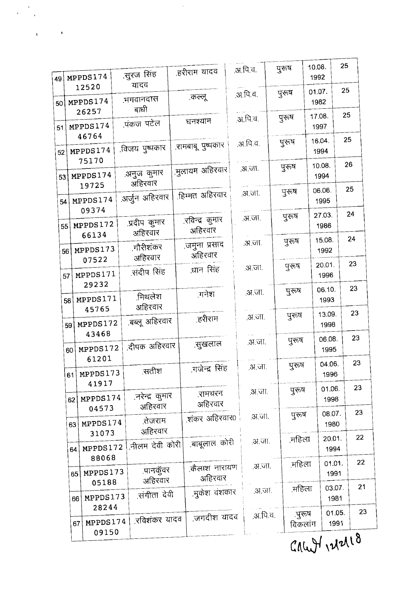$GauHv1218$ 

| 49 |    | MPPDS174             | .सुरज सिंह                 | .हरीराम यादव               | .अ.पि.च. |          | पुरुष   | 10.08.<br>1992 |                | 25               |
|----|----|----------------------|----------------------------|----------------------------|----------|----------|---------|----------------|----------------|------------------|
| 50 |    | 12520<br>MPPDS174    | यादव<br><u>भगवानदास</u>    | .कल्लू                     | .अ.पि.व. |          | पूरुष   | 01.07.<br>1982 |                | 25               |
|    |    | 26257                | बाधी<br>पंकज पटेल          | घनश्याम                    | .अ.पि.च. |          | पूरुष   | 17.08.         |                | 25               |
| 51 |    | MPPDS174<br>46764    |                            |                            |          |          | पुरुष   | 1997<br>16.04. |                | 25               |
| 52 |    | MPPDS174<br>75170    | विजय पुष्पकार              | .रामबाबू पुष्पकार          | .अ.पि.व. |          |         |                | 1994           |                  |
| 53 |    | MPPDS174<br>19725    | .अनुज कुमार<br>अहिरवार     | .मुलायम अहिरवार            | .अ.जा.   |          | पुरुष   |                | 10.08.<br>1994 | 26               |
|    | 54 | MPPDS174<br>09374    | .अर्जुन अहिरवार            | .हिम्मत अहिरवार            | .अ.जा.   |          | पुरूष   |                | 06.06.<br>1995 | 25               |
|    | 55 | MPPDS172<br>66134    | .प्रदीप कुमार<br>अहिरवार   | .रविन्द्र कुमार<br>अहिरवार |          | अ.जा.    | पूरूष   |                | 27.03.<br>1986 | 24               |
|    | 56 | MPPDS173<br>07522    | गौरीशंकर<br>अहिरवार        | .जमुना प्रसाद<br>अहिरवार   |          | अ.जा.    | पुरुष   |                | 15.08.<br>1992 | 24               |
|    | 57 | MPPDS171             | संदीप सिंह                 | धान सिंह                   |          | .अ.जा.   | पुरुष   |                | 20.01.<br>1996 | 23               |
|    | 58 | 29232<br>MPPDS171    | मिथलेश<br>अहिरवार          | ानेश                       |          | .अ.जा.   | पुरुष   |                | 06.10.<br>1993 | 23               |
|    | 59 | 45765<br>MPPDS172    | बब्लू अहिरवार              | .हरीराम                    |          | .अ.जा.   | पुरुष   |                | 13.09.<br>1998 | 23               |
|    | 60 | 43468<br>MPPDS172    | .दीपक अहिरवार              | .सुखलाल                    |          | .अ.जा.   | पुरुष   |                | 06.08.<br>1995 | 23               |
|    |    | 61201<br>61 MPPDS173 | .सतीश                      | .गजेन्द्र सिंह             |          | .अ.जा.   | पूरुष   |                | 04.06.<br>1996 | 23               |
|    | 62 | 41917<br>MPPDS174    | .नरेन्द्र कुमार            | .रामचरन<br>अहिरवार         |          | .अ.जा.   | पूरुष   |                | 01.06.<br>1998 | 23               |
|    | 63 | 04573<br>MPPDS174    | अहिरवार<br>.तेजराम         | .शंकर अहिरवार0             |          | .स.च्या. | पूरुष   |                | 08.07.<br>1980 | 23               |
|    | 64 | 31073<br>MPPDS172    | अहिरवार<br>.नीलम देवी कोरी | .बाबूलाल कोरी              |          | .अ.जा.   | .महिला  |                | 20.01.<br>1994 | 22               |
|    | 65 | 88068<br>MPPDS173    | <u>.पानकू</u> ंवर          | कैलाश नारायण<br>अहिरवार    |          | .अ.जा.   | महिला   |                | 01.01.<br>1991 | 22               |
|    | 66 | 05188<br>MPPDS173    | अहिरवार<br>.संगीता देवी    | .मुकेश वंशकार              |          | .अ.जा.   | .महिला  |                | 03.07.<br>1981 | 21               |
|    |    | 28244<br>MPPDS174    | .रविशंकर यादव              | .जगदीश यादव                |          | .अ.पि.च. | .पुरुष  |                | 01.05.         | 23               |
|    | 67 | 09150                |                            |                            |          |          | विकलांग |                | 1991           | $\boldsymbol{q}$ |

ł l,

 $\mathbf{I}$ 

 $\mathbf{I}$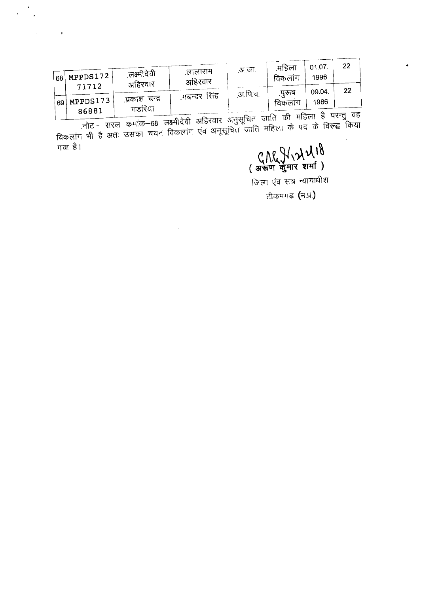| 68 | $\text{H}$ MPPDS172 $\text{H}$ | .लक्ष्मीदेवी<br>अहिरवार | लालाराम<br>अहिरवार | .अ.जा.  | .महिला<br>विकलाग | 01.07<br>1996 | つつ   |  |
|----|--------------------------------|-------------------------|--------------------|---------|------------------|---------------|------|--|
|    | 71712                          |                         |                    | .अ.पि.व | परूष             | 09.04.        | 22   |  |
| 69 | $\pm$ MPPDS173 $\pm$           | प्रकाश चन्द्र           | ्गबन्दर सिंह       |         | विकलाग           | 1986          |      |  |
|    | 86881                          | गडरिया                  |                    |         | $\sim$           |               | ਾ ਸਟ |  |

 $\frac{1}{2}$ 

 $\ddot{\phantom{0}}$ 

 $\mathbf{1}$ 

 $\sim 10^{11}$  M

गया है।

 $\mathcal{A}$ 

( अरुण कुमार शर्मा)

जिला एंव सत्र न्यायाधीश

टीकमगढ (म.प्र.)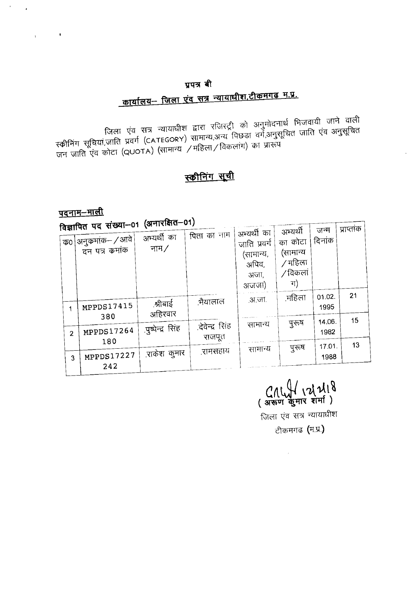## प्रपत्र बी <u> कार्यालय- जिला एंव सत्र न्यायाधीश,टीकमगढ म.प्र.</u>

जिला एंव सत्र न्यायाधीश द्वारा रजिस्ट्री को अनुमोदनार्थ भिजवायी जाने वाली<br>स्क्रीनिंग सूचियां,जाति प्रवर्ग (CATEGORY) सामान्य,अन्य पिछडा वर्ग,अनुसूचित जाति एंव अनुसूचित<br>जन जाति एंव कोटा (QUOTA) (सामान्य /महिला/विकलांग) का

## स्कीनिंग सूची

<u>पदनाम–माली</u>

...<br>कंग्ला—01 (अनारक्षित—01)

| <u>विज्ञापित पद संख्याच्या स्थापर संग्र</u> |                        |                           | अभ्यर्थी का                                         | अभ्यर्थी                                        | जन्म           | प्राप्तांक |  |
|---------------------------------------------|------------------------|---------------------------|-----------------------------------------------------|-------------------------------------------------|----------------|------------|--|
| ' क0 अनुकमांक– / आवे <br>दन पत्र कमांक      | अभ्यर्थी का<br>नाम $/$ | पिता का नाम               | जाति प्रवर्ग<br>(सामान्य,<br>अपिव,<br>अजा,<br>अजजा) | का कोटा<br>(सामान्य<br>/ महिला<br>/ विकला<br>ग) | दिनांक         |            |  |
| MPPDS17415                                  | .श्रीबाई<br>अहिरवार    | .भैयालाल                  | .अ.जा.                                              | .महिला                                          | 01.02.<br>1995 | 21         |  |
| 380<br>MPPDS17264<br>$\overline{2}$         | .पुष्पेन्द्र सिंह      | .देवेन्द्र सिंह<br>राजपूत | सामान्य                                             | पुरुष                                           | 14.06.<br>1982 | 15         |  |
| 180<br>MPPDS17227<br>3                      | .राकेश कुमार           | .रामसहाय                  | सामान्य                                             | पूरुष                                           | 17.01.<br>1988 | 13         |  |
| 242                                         |                        |                           |                                                     |                                                 |                |            |  |

CALLY 12/2118

जिला एंव सत्र न्यायाधीश

टीकमगढ (म.प्र.)

 $\sim 200$